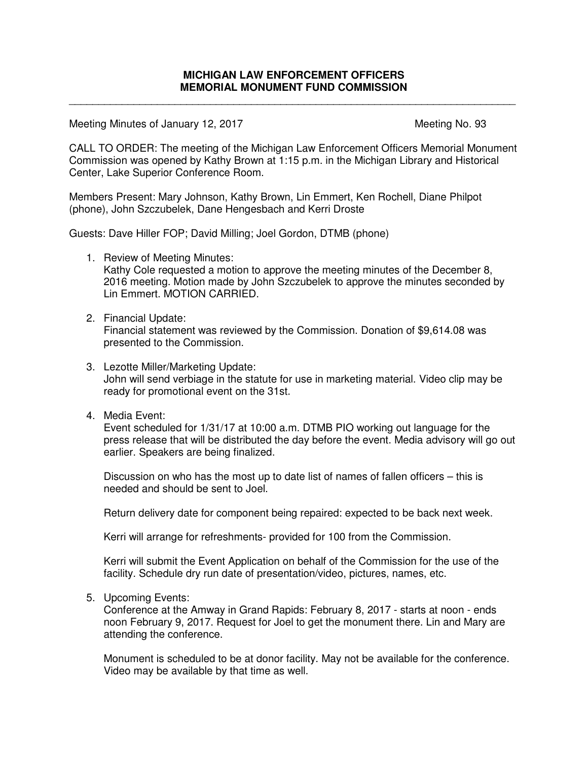\_\_\_\_\_\_\_\_\_\_\_\_\_\_\_\_\_\_\_\_\_\_\_\_\_\_\_\_\_\_\_\_\_\_\_\_\_\_\_\_\_\_\_\_\_\_\_\_\_\_\_\_\_\_\_\_\_\_\_\_\_\_\_\_\_\_\_\_\_\_\_\_\_\_\_\_

Meeting Minutes of January 12, 2017 Meeting No. 93

CALL TO ORDER: The meeting of the Michigan Law Enforcement Officers Memorial Monument Commission was opened by Kathy Brown at 1:15 p.m. in the Michigan Library and Historical Center, Lake Superior Conference Room.

Members Present: Mary Johnson, Kathy Brown, Lin Emmert, Ken Rochell, Diane Philpot (phone), John Szczubelek, Dane Hengesbach and Kerri Droste

Guests: Dave Hiller FOP; David Milling; Joel Gordon, DTMB (phone)

1. Review of Meeting Minutes:

Kathy Cole requested a motion to approve the meeting minutes of the December 8, 2016 meeting. Motion made by John Szczubelek to approve the minutes seconded by Lin Emmert. MOTION CARRIED.

2. Financial Update:

Financial statement was reviewed by the Commission. Donation of \$9,614.08 was presented to the Commission.

- 3. Lezotte Miller/Marketing Update: John will send verbiage in the statute for use in marketing material. Video clip may be ready for promotional event on the 31st.
- 4. Media Event:

Event scheduled for 1/31/17 at 10:00 a.m. DTMB PIO working out language for the press release that will be distributed the day before the event. Media advisory will go out earlier. Speakers are being finalized.

Discussion on who has the most up to date list of names of fallen officers – this is needed and should be sent to Joel.

Return delivery date for component being repaired: expected to be back next week.

Kerri will arrange for refreshments- provided for 100 from the Commission.

Kerri will submit the Event Application on behalf of the Commission for the use of the facility. Schedule dry run date of presentation/video, pictures, names, etc.

5. Upcoming Events:

Conference at the Amway in Grand Rapids: February 8, 2017 - starts at noon - ends noon February 9, 2017. Request for Joel to get the monument there. Lin and Mary are attending the conference.

Monument is scheduled to be at donor facility. May not be available for the conference. Video may be available by that time as well.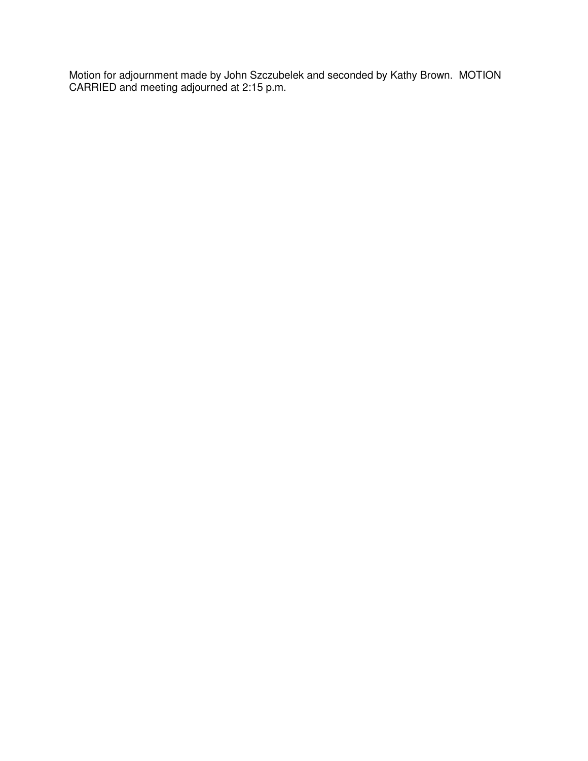Motion for adjournment made by John Szczubelek and seconded by Kathy Brown. MOTION CARRIED and meeting adjourned at 2:15 p.m.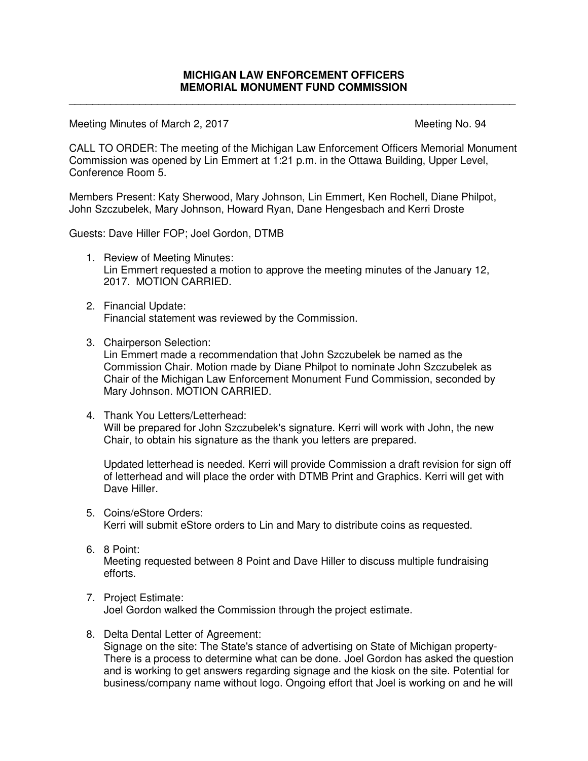\_\_\_\_\_\_\_\_\_\_\_\_\_\_\_\_\_\_\_\_\_\_\_\_\_\_\_\_\_\_\_\_\_\_\_\_\_\_\_\_\_\_\_\_\_\_\_\_\_\_\_\_\_\_\_\_\_\_\_\_\_\_\_\_\_\_\_\_\_\_\_\_\_\_\_\_

Meeting Minutes of March 2, 2017 Meeting No. 94

CALL TO ORDER: The meeting of the Michigan Law Enforcement Officers Memorial Monument Commission was opened by Lin Emmert at 1:21 p.m. in the Ottawa Building, Upper Level, Conference Room 5.

Members Present: Katy Sherwood, Mary Johnson, Lin Emmert, Ken Rochell, Diane Philpot, John Szczubelek, Mary Johnson, Howard Ryan, Dane Hengesbach and Kerri Droste

Guests: Dave Hiller FOP; Joel Gordon, DTMB

- 1. Review of Meeting Minutes: Lin Emmert requested a motion to approve the meeting minutes of the January 12, 2017. MOTION CARRIED.
- 2. Financial Update: Financial statement was reviewed by the Commission.
- 3. Chairperson Selection:

Lin Emmert made a recommendation that John Szczubelek be named as the Commission Chair. Motion made by Diane Philpot to nominate John Szczubelek as Chair of the Michigan Law Enforcement Monument Fund Commission, seconded by Mary Johnson. MOTION CARRIED.

4. Thank You Letters/Letterhead: Will be prepared for John Szczubelek's signature. Kerri will work with John, the new Chair, to obtain his signature as the thank you letters are prepared.

Updated letterhead is needed. Kerri will provide Commission a draft revision for sign off of letterhead and will place the order with DTMB Print and Graphics. Kerri will get with Dave Hiller.

5. Coins/eStore Orders:

Kerri will submit eStore orders to Lin and Mary to distribute coins as requested.

6. 8 Point:

Meeting requested between 8 Point and Dave Hiller to discuss multiple fundraising efforts.

7. Project Estimate:

Joel Gordon walked the Commission through the project estimate.

8. Delta Dental Letter of Agreement:

Signage on the site: The State's stance of advertising on State of Michigan property-There is a process to determine what can be done. Joel Gordon has asked the question and is working to get answers regarding signage and the kiosk on the site. Potential for business/company name without logo. Ongoing effort that Joel is working on and he will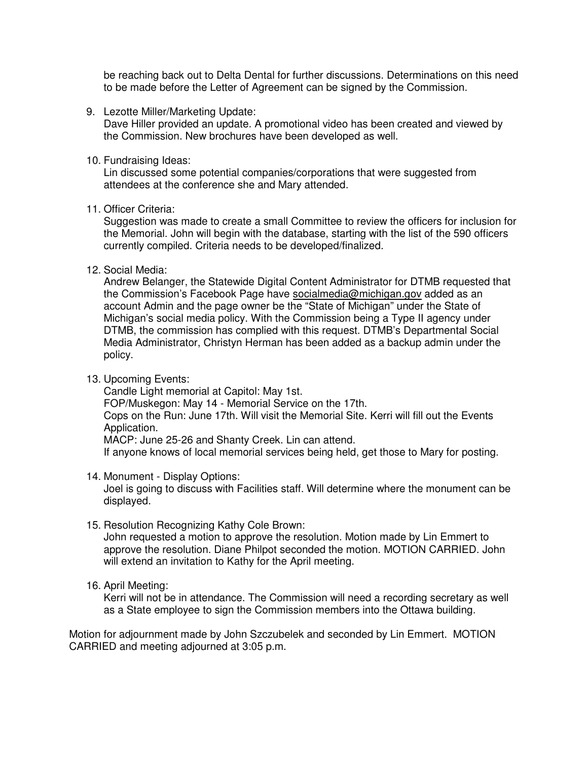be reaching back out to Delta Dental for further discussions. Determinations on this need to be made before the Letter of Agreement can be signed by the Commission.

9. Lezotte Miller/Marketing Update:

Dave Hiller provided an update. A promotional video has been created and viewed by the Commission. New brochures have been developed as well.

10. Fundraising Ideas:

Lin discussed some potential companies/corporations that were suggested from attendees at the conference she and Mary attended.

11. Officer Criteria:

Suggestion was made to create a small Committee to review the officers for inclusion for the Memorial. John will begin with the database, starting with the list of the 590 officers currently compiled. Criteria needs to be developed/finalized.

12. Social Media:

Andrew Belanger, the Statewide Digital Content Administrator for DTMB requested that the Commission's Facebook Page have socialmedia@michigan.gov added as an account Admin and the page owner be the "State of Michigan" under the State of Michigan's social media policy. With the Commission being a Type II agency under DTMB, the commission has complied with this request. DTMB's Departmental Social Media Administrator, Christyn Herman has been added as a backup admin under the policy.

13. Upcoming Events:

Candle Light memorial at Capitol: May 1st. FOP/Muskegon: May 14 - Memorial Service on the 17th. Cops on the Run: June 17th. Will visit the Memorial Site. Kerri will fill out the Events Application. MACP: June 25-26 and Shanty Creek. Lin can attend. If anyone knows of local memorial services being held, get those to Mary for posting.

14. Monument - Display Options:

Joel is going to discuss with Facilities staff. Will determine where the monument can be displayed.

15. Resolution Recognizing Kathy Cole Brown:

John requested a motion to approve the resolution. Motion made by Lin Emmert to approve the resolution. Diane Philpot seconded the motion. MOTION CARRIED. John will extend an invitation to Kathy for the April meeting.

16. April Meeting:

Kerri will not be in attendance. The Commission will need a recording secretary as well as a State employee to sign the Commission members into the Ottawa building.

Motion for adjournment made by John Szczubelek and seconded by Lin Emmert. MOTION CARRIED and meeting adjourned at 3:05 p.m.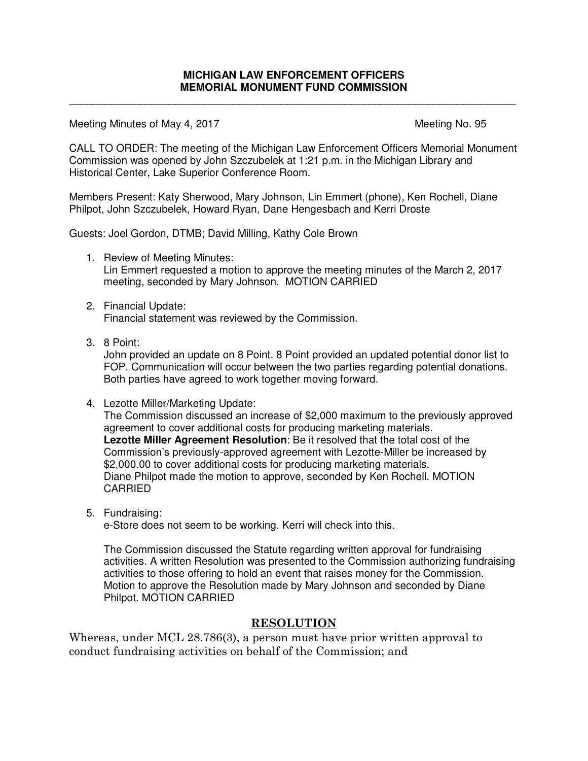\_\_\_\_\_\_\_\_\_\_\_\_\_\_\_\_\_\_\_\_\_\_\_\_\_\_\_\_\_\_\_\_\_\_\_\_\_\_\_\_\_\_\_\_\_\_\_\_\_\_\_\_\_\_\_\_\_\_\_\_\_\_\_\_\_\_\_\_\_\_\_\_\_\_\_\_

Meeting Minutes of May 4, 2017 Meeting No. 95

CALL TO ORDER: The meeting of the Michigan Law Enforcement Officers Memorial Monument Commission was opened by John Szczubelek at 1:21 p.m. in the Michigan Library and Historical Center, Lake Superior Conference Room.

Members Present: Katy Sherwood, Mary Johnson, Lin Emmert (phone), Ken Rochell, Diane Philpot, John Szczubelek, Howard Ryan, Dane Hengesbach and Kerri Droste

Guests: Joel Gordon, DTMB; David Milling, Kathy Cole Brown

- 1. Review of Meeting Minutes: Lin Emmert requested a motion to approve the meeting minutes of the March 2, 2017 meeting, seconded by Mary Johnson. MOTION CARRIED
- 2. Financial Update: Financial statement was reviewed by the Commission.
- 3. 8 Point:

John provided an update on 8 Point. 8 Point provided an updated potential donor list to FOP. Communication will occur between the two parties regarding potential donations. Both parties have agreed to work together moving forward.

4. Lezotte Miller/Marketing Update:

The Commission discussed an increase of \$2,000 maximum to the previously approved agreement to cover additional costs for producing marketing materials. **Lezotte Miller Agreement Resolution**: Be it resolved that the total cost of the Commission's previously-approved agreement with Lezotte-Miller be increased by \$2,000.00 to cover additional costs for producing marketing materials. Diane Philpot made the motion to approve, seconded by Ken Rochell. MOTION CARRIED

5. Fundraising:

e-Store does not seem to be working. Kerri will check into this.

The Commission discussed the Statute regarding written approval for fundraising activities. A written Resolution was presented to the Commission authorizing fundraising activities to those offering to hold an event that raises money for the Commission. Motion to approve the Resolution made by Mary Johnson and seconded by Diane Philpot. MOTION CARRIED

# **RESOLUTION**

Whereas, under MCL 28.786(3), a person must have prior written approval to conduct fundraising activities on behalf of the Commission; and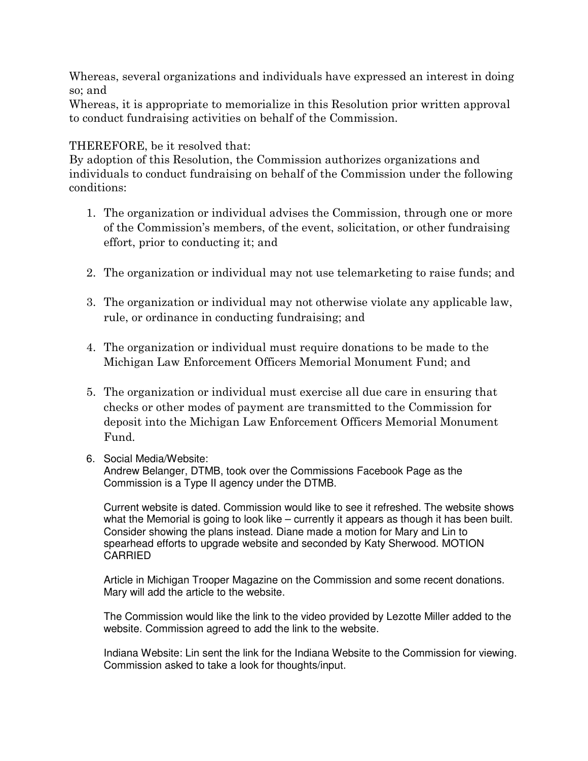Whereas, several organizations and individuals have expressed an interest in doing so; and

Whereas, it is appropriate to memorialize in this Resolution prior written approval to conduct fundraising activities on behalf of the Commission.

# THEREFORE, be it resolved that:

By adoption of this Resolution, the Commission authorizes organizations and individuals to conduct fundraising on behalf of the Commission under the following conditions:

- 1. The organization or individual advises the Commission, through one or more of the Commission's members, of the event, solicitation, or other fundraising effort, prior to conducting it; and
- 2. The organization or individual may not use telemarketing to raise funds; and
- 3. The organization or individual may not otherwise violate any applicable law, rule, or ordinance in conducting fundraising; and
- 4. The organization or individual must require donations to be made to the Michigan Law Enforcement Officers Memorial Monument Fund; and
- 5. The organization or individual must exercise all due care in ensuring that checks or other modes of payment are transmitted to the Commission for deposit into the Michigan Law Enforcement Officers Memorial Monument Fund.
- 6. Social Media/Website:

Andrew Belanger, DTMB, took over the Commissions Facebook Page as the Commission is a Type II agency under the DTMB.

Current website is dated. Commission would like to see it refreshed. The website shows what the Memorial is going to look like – currently it appears as though it has been built. Consider showing the plans instead. Diane made a motion for Mary and Lin to spearhead efforts to upgrade website and seconded by Katy Sherwood. MOTION CARRIED

Article in Michigan Trooper Magazine on the Commission and some recent donations. Mary will add the article to the website.

The Commission would like the link to the video provided by Lezotte Miller added to the website. Commission agreed to add the link to the website.

Indiana Website: Lin sent the link for the Indiana Website to the Commission for viewing. Commission asked to take a look for thoughts/input.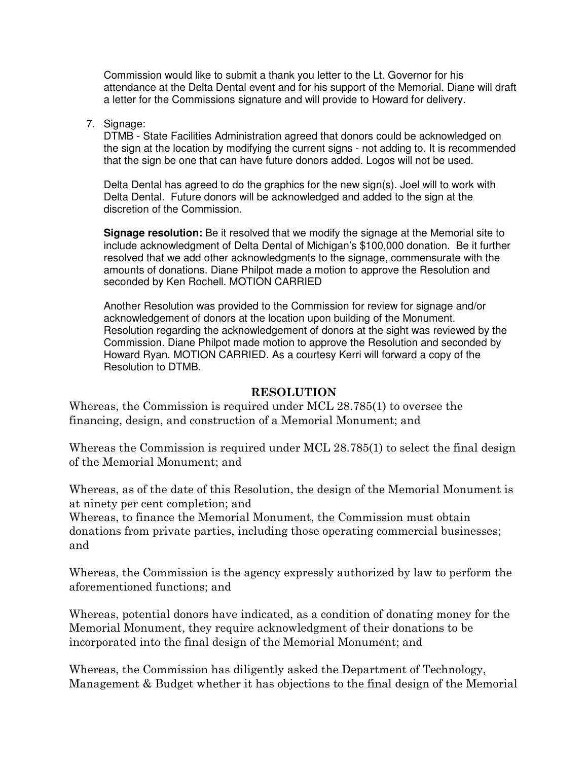Commission would like to submit a thank you letter to the Lt. Governor for his attendance at the Delta Dental event and for his support of the Memorial. Diane will draft a letter for the Commissions signature and will provide to Howard for delivery.

7. Signage:

DTMB - State Facilities Administration agreed that donors could be acknowledged on the sign at the location by modifying the current signs - not adding to. It is recommended that the sign be one that can have future donors added. Logos will not be used.

Delta Dental has agreed to do the graphics for the new sign(s). Joel will to work with Delta Dental. Future donors will be acknowledged and added to the sign at the discretion of the Commission.

**Signage resolution:** Be it resolved that we modify the signage at the Memorial site to include acknowledgment of Delta Dental of Michigan's \$100,000 donation. Be it further resolved that we add other acknowledgments to the signage, commensurate with the amounts of donations. Diane Philpot made a motion to approve the Resolution and seconded by Ken Rochell. MOTION CARRIED

Another Resolution was provided to the Commission for review for signage and/or acknowledgement of donors at the location upon building of the Monument. Resolution regarding the acknowledgement of donors at the sight was reviewed by the Commission. Diane Philpot made motion to approve the Resolution and seconded by Howard Ryan. MOTION CARRIED. As a courtesy Kerri will forward a copy of the Resolution to DTMB.

# **RESOLUTION**

Whereas, the Commission is required under MCL 28.785(1) to oversee the financing, design, and construction of a Memorial Monument; and

Whereas the Commission is required under MCL 28.785(1) to select the final design of the Memorial Monument; and

Whereas, as of the date of this Resolution, the design of the Memorial Monument is at ninety per cent completion; and

Whereas, to finance the Memorial Monument, the Commission must obtain donations from private parties, including those operating commercial businesses; and

Whereas, the Commission is the agency expressly authorized by law to perform the aforementioned functions; and

Whereas, potential donors have indicated, as a condition of donating money for the Memorial Monument, they require acknowledgment of their donations to be incorporated into the final design of the Memorial Monument; and

Whereas, the Commission has diligently asked the Department of Technology, Management & Budget whether it has objections to the final design of the Memorial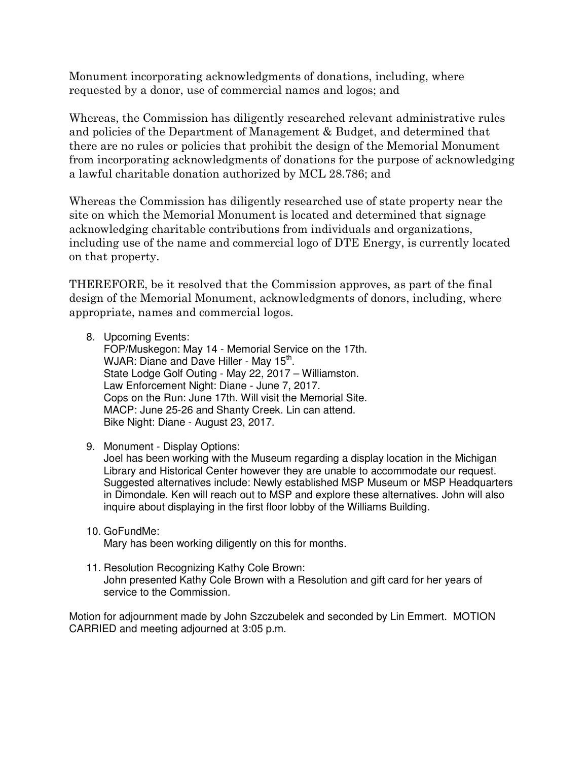Monument incorporating acknowledgments of donations, including, where requested by a donor, use of commercial names and logos; and

Whereas, the Commission has diligently researched relevant administrative rules and policies of the Department of Management & Budget, and determined that there are no rules or policies that prohibit the design of the Memorial Monument from incorporating acknowledgments of donations for the purpose of acknowledging a lawful charitable donation authorized by MCL 28.786; and

Whereas the Commission has diligently researched use of state property near the site on which the Memorial Monument is located and determined that signage acknowledging charitable contributions from individuals and organizations, including use of the name and commercial logo of DTE Energy, is currently located on that property.

THEREFORE, be it resolved that the Commission approves, as part of the final design of the Memorial Monument, acknowledgments of donors, including, where appropriate, names and commercial logos.

8. Upcoming Events:

FOP/Muskegon: May 14 - Memorial Service on the 17th. WJAR: Diane and Dave Hiller - May 15<sup>th</sup>. State Lodge Golf Outing - May 22, 2017 – Williamston. Law Enforcement Night: Diane - June 7, 2017. Cops on the Run: June 17th. Will visit the Memorial Site. MACP: June 25-26 and Shanty Creek. Lin can attend. Bike Night: Diane - August 23, 2017.

9. Monument - Display Options:

Joel has been working with the Museum regarding a display location in the Michigan Library and Historical Center however they are unable to accommodate our request. Suggested alternatives include: Newly established MSP Museum or MSP Headquarters in Dimondale. Ken will reach out to MSP and explore these alternatives. John will also inquire about displaying in the first floor lobby of the Williams Building.

- 10. GoFundMe: Mary has been working diligently on this for months.
- 11. Resolution Recognizing Kathy Cole Brown: John presented Kathy Cole Brown with a Resolution and gift card for her years of service to the Commission.

Motion for adjournment made by John Szczubelek and seconded by Lin Emmert. MOTION CARRIED and meeting adjourned at 3:05 p.m.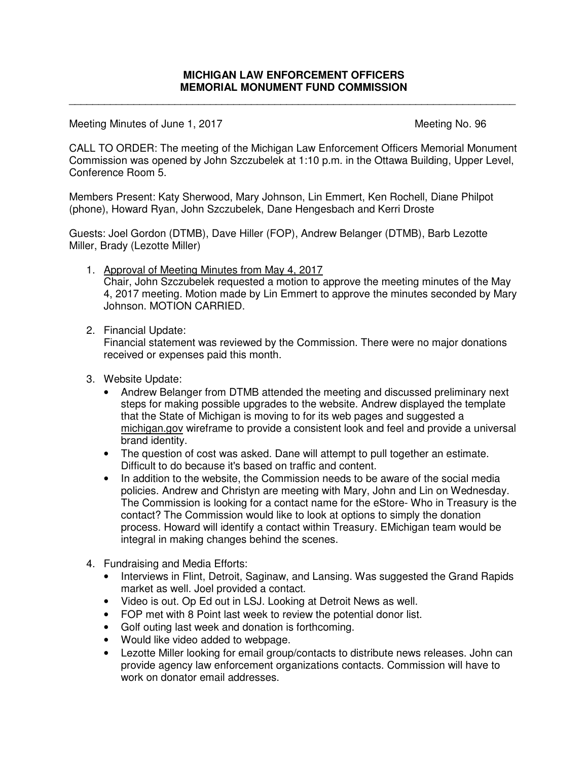\_\_\_\_\_\_\_\_\_\_\_\_\_\_\_\_\_\_\_\_\_\_\_\_\_\_\_\_\_\_\_\_\_\_\_\_\_\_\_\_\_\_\_\_\_\_\_\_\_\_\_\_\_\_\_\_\_\_\_\_\_\_\_\_\_\_\_\_\_\_\_\_\_\_\_\_

Meeting Minutes of June 1, 2017 Meeting No. 96

CALL TO ORDER: The meeting of the Michigan Law Enforcement Officers Memorial Monument Commission was opened by John Szczubelek at 1:10 p.m. in the Ottawa Building, Upper Level, Conference Room 5.

Members Present: Katy Sherwood, Mary Johnson, Lin Emmert, Ken Rochell, Diane Philpot (phone), Howard Ryan, John Szczubelek, Dane Hengesbach and Kerri Droste

Guests: Joel Gordon (DTMB), Dave Hiller (FOP), Andrew Belanger (DTMB), Barb Lezotte Miller, Brady (Lezotte Miller)

- 1. Approval of Meeting Minutes from May 4, 2017 Chair, John Szczubelek requested a motion to approve the meeting minutes of the May 4, 2017 meeting. Motion made by Lin Emmert to approve the minutes seconded by Mary Johnson. MOTION CARRIED.
- 2. Financial Update:

Financial statement was reviewed by the Commission. There were no major donations received or expenses paid this month.

- 3. Website Update:
	- Andrew Belanger from DTMB attended the meeting and discussed preliminary next steps for making possible upgrades to the website. Andrew displayed the template that the State of Michigan is moving to for its web pages and suggested a michigan.gov wireframe to provide a consistent look and feel and provide a universal brand identity.
	- The question of cost was asked. Dane will attempt to pull together an estimate. Difficult to do because it's based on traffic and content.
	- In addition to the website, the Commission needs to be aware of the social media policies. Andrew and Christyn are meeting with Mary, John and Lin on Wednesday. The Commission is looking for a contact name for the eStore- Who in Treasury is the contact? The Commission would like to look at options to simply the donation process. Howard will identify a contact within Treasury. EMichigan team would be integral in making changes behind the scenes.
- 4. Fundraising and Media Efforts:
	- Interviews in Flint, Detroit, Saginaw, and Lansing. Was suggested the Grand Rapids market as well. Joel provided a contact.
	- Video is out. Op Ed out in LSJ. Looking at Detroit News as well.
	- FOP met with 8 Point last week to review the potential donor list.
	- Golf outing last week and donation is forthcoming.
	- Would like video added to webpage.
	- Lezotte Miller looking for email group/contacts to distribute news releases. John can provide agency law enforcement organizations contacts. Commission will have to work on donator email addresses.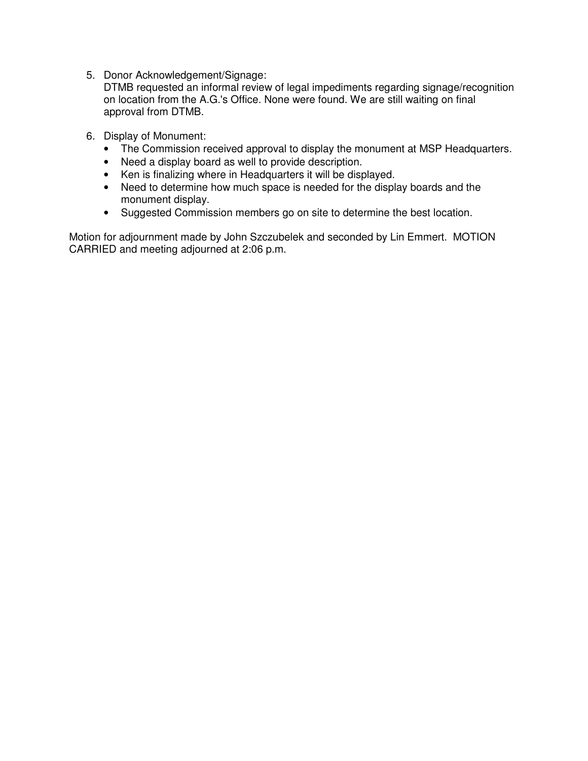5. Donor Acknowledgement/Signage:

DTMB requested an informal review of legal impediments regarding signage/recognition on location from the A.G.'s Office. None were found. We are still waiting on final approval from DTMB.

- 6. Display of Monument:
	- The Commission received approval to display the monument at MSP Headquarters.
	- Need a display board as well to provide description.
	- Ken is finalizing where in Headquarters it will be displayed.
	- Need to determine how much space is needed for the display boards and the monument display.
	- Suggested Commission members go on site to determine the best location.

Motion for adjournment made by John Szczubelek and seconded by Lin Emmert. MOTION CARRIED and meeting adjourned at 2:06 p.m.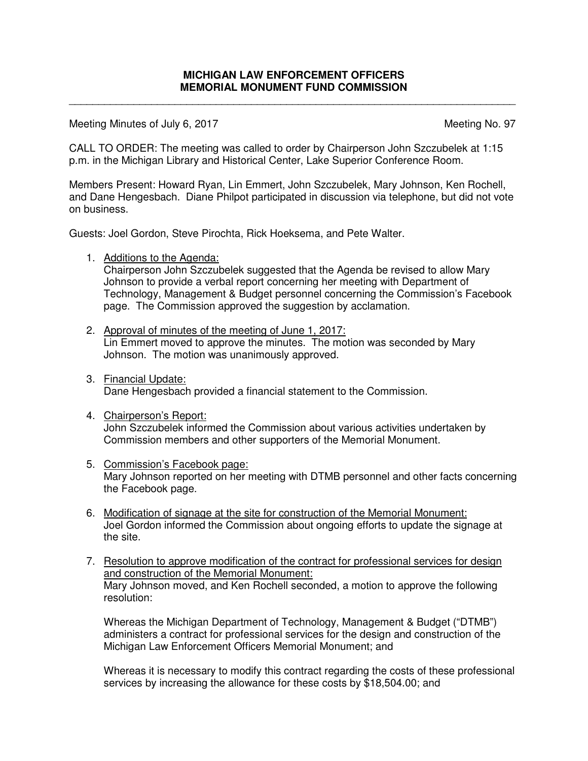\_\_\_\_\_\_\_\_\_\_\_\_\_\_\_\_\_\_\_\_\_\_\_\_\_\_\_\_\_\_\_\_\_\_\_\_\_\_\_\_\_\_\_\_\_\_\_\_\_\_\_\_\_\_\_\_\_\_\_\_\_\_\_\_\_\_\_\_\_\_\_\_\_\_\_\_

Meeting Minutes of July 6, 2017 Meeting No. 97

CALL TO ORDER: The meeting was called to order by Chairperson John Szczubelek at 1:15 p.m. in the Michigan Library and Historical Center, Lake Superior Conference Room.

Members Present: Howard Ryan, Lin Emmert, John Szczubelek, Mary Johnson, Ken Rochell, and Dane Hengesbach. Diane Philpot participated in discussion via telephone, but did not vote on business.

Guests: Joel Gordon, Steve Pirochta, Rick Hoeksema, and Pete Walter.

1. Additions to the Agenda:

Chairperson John Szczubelek suggested that the Agenda be revised to allow Mary Johnson to provide a verbal report concerning her meeting with Department of Technology, Management & Budget personnel concerning the Commission's Facebook page. The Commission approved the suggestion by acclamation.

- 2. Approval of minutes of the meeting of June 1, 2017: Lin Emmert moved to approve the minutes. The motion was seconded by Mary Johnson. The motion was unanimously approved.
- 3. Financial Update: Dane Hengesbach provided a financial statement to the Commission.
- 4. Chairperson's Report: John Szczubelek informed the Commission about various activities undertaken by Commission members and other supporters of the Memorial Monument.
- 5. Commission's Facebook page: Mary Johnson reported on her meeting with DTMB personnel and other facts concerning the Facebook page.
- 6. Modification of signage at the site for construction of the Memorial Monument: Joel Gordon informed the Commission about ongoing efforts to update the signage at the site.
- 7. Resolution to approve modification of the contract for professional services for design and construction of the Memorial Monument: Mary Johnson moved, and Ken Rochell seconded, a motion to approve the following resolution:

Whereas the Michigan Department of Technology, Management & Budget ("DTMB") administers a contract for professional services for the design and construction of the Michigan Law Enforcement Officers Memorial Monument; and

Whereas it is necessary to modify this contract regarding the costs of these professional services by increasing the allowance for these costs by \$18,504.00; and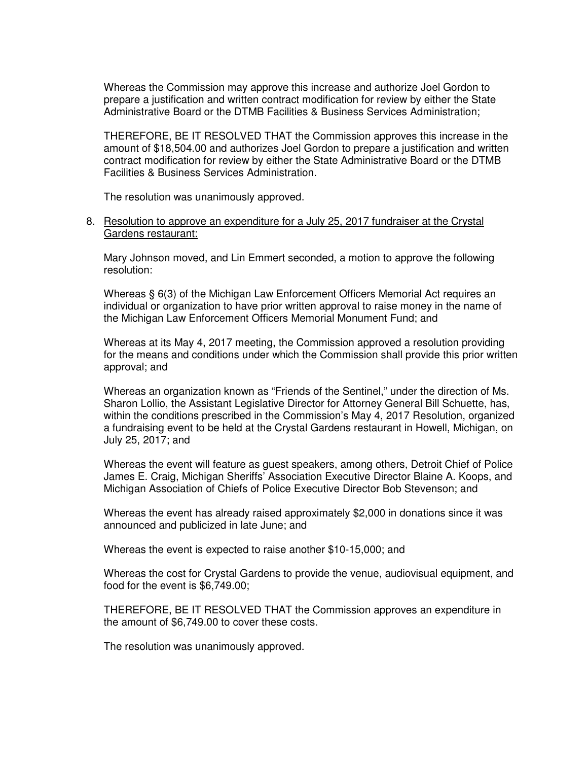Whereas the Commission may approve this increase and authorize Joel Gordon to prepare a justification and written contract modification for review by either the State Administrative Board or the DTMB Facilities & Business Services Administration;

THEREFORE, BE IT RESOLVED THAT the Commission approves this increase in the amount of \$18,504.00 and authorizes Joel Gordon to prepare a justification and written contract modification for review by either the State Administrative Board or the DTMB Facilities & Business Services Administration.

The resolution was unanimously approved.

#### 8. Resolution to approve an expenditure for a July 25, 2017 fundraiser at the Crystal Gardens restaurant:

Mary Johnson moved, and Lin Emmert seconded, a motion to approve the following resolution:

Whereas § 6(3) of the Michigan Law Enforcement Officers Memorial Act requires an individual or organization to have prior written approval to raise money in the name of the Michigan Law Enforcement Officers Memorial Monument Fund; and

Whereas at its May 4, 2017 meeting, the Commission approved a resolution providing for the means and conditions under which the Commission shall provide this prior written approval; and

Whereas an organization known as "Friends of the Sentinel," under the direction of Ms. Sharon Lollio, the Assistant Legislative Director for Attorney General Bill Schuette, has, within the conditions prescribed in the Commission's May 4, 2017 Resolution, organized a fundraising event to be held at the Crystal Gardens restaurant in Howell, Michigan, on July 25, 2017; and

Whereas the event will feature as guest speakers, among others, Detroit Chief of Police James E. Craig, Michigan Sheriffs' Association Executive Director Blaine A. Koops, and Michigan Association of Chiefs of Police Executive Director Bob Stevenson; and

Whereas the event has already raised approximately \$2,000 in donations since it was announced and publicized in late June; and

Whereas the event is expected to raise another \$10-15,000; and

Whereas the cost for Crystal Gardens to provide the venue, audiovisual equipment, and food for the event is \$6,749.00;

THEREFORE, BE IT RESOLVED THAT the Commission approves an expenditure in the amount of \$6,749.00 to cover these costs.

The resolution was unanimously approved.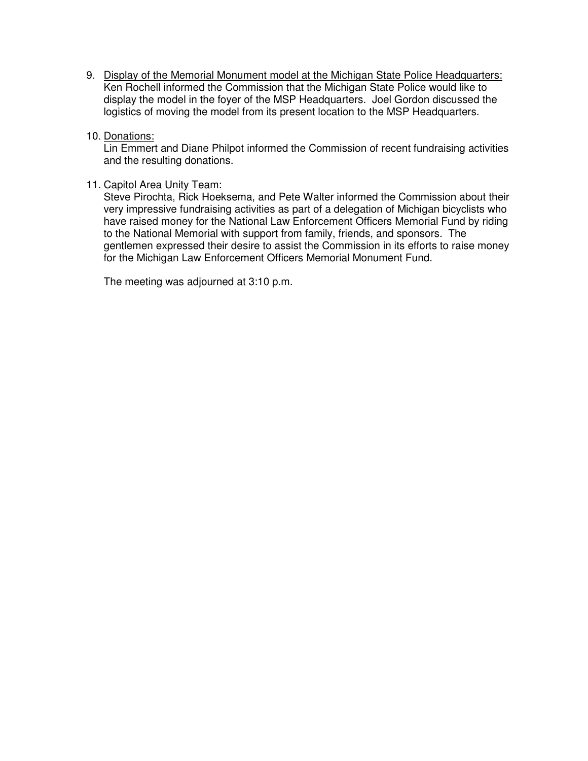- 9. Display of the Memorial Monument model at the Michigan State Police Headquarters: Ken Rochell informed the Commission that the Michigan State Police would like to display the model in the foyer of the MSP Headquarters. Joel Gordon discussed the logistics of moving the model from its present location to the MSP Headquarters.
- 10. Donations:

Lin Emmert and Diane Philpot informed the Commission of recent fundraising activities and the resulting donations.

# 11. Capitol Area Unity Team:

Steve Pirochta, Rick Hoeksema, and Pete Walter informed the Commission about their very impressive fundraising activities as part of a delegation of Michigan bicyclists who have raised money for the National Law Enforcement Officers Memorial Fund by riding to the National Memorial with support from family, friends, and sponsors. The gentlemen expressed their desire to assist the Commission in its efforts to raise money for the Michigan Law Enforcement Officers Memorial Monument Fund.

The meeting was adjourned at 3:10 p.m.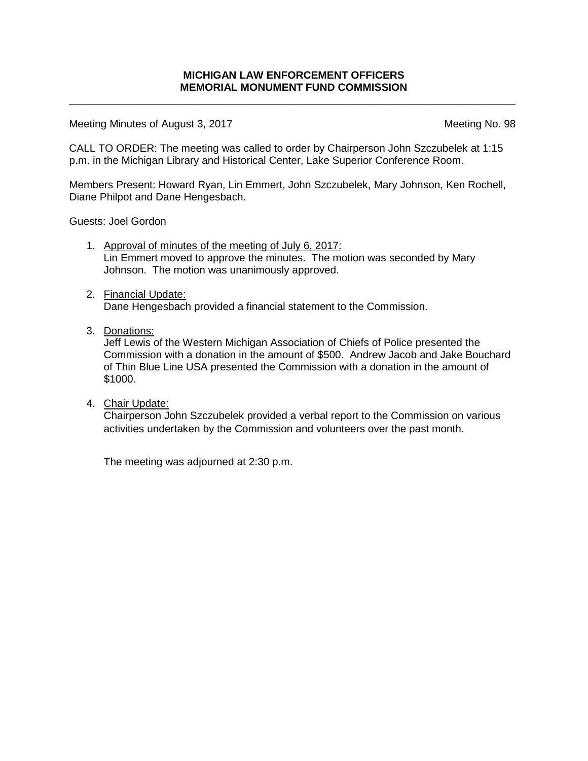\_\_\_\_\_\_\_\_\_\_\_\_\_\_\_\_\_\_\_\_\_\_\_\_\_\_\_\_\_\_\_\_\_\_\_\_\_\_\_\_\_\_\_\_\_\_\_\_\_\_\_\_\_\_\_\_\_\_\_\_\_\_\_\_\_\_\_\_\_\_\_\_\_\_\_\_

Meeting Minutes of August 3, 2017 Meeting No. 98

CALL TO ORDER: The meeting was called to order by Chairperson John Szczubelek at 1:15 p.m. in the Michigan Library and Historical Center, Lake Superior Conference Room.

Members Present: Howard Ryan, Lin Emmert, John Szczubelek, Mary Johnson, Ken Rochell, Diane Philpot and Dane Hengesbach.

Guests: Joel Gordon

- 1. Approval of minutes of the meeting of July 6, 2017: Lin Emmert moved to approve the minutes. The motion was seconded by Mary Johnson. The motion was unanimously approved.
- 2. Financial Update:

Dane Hengesbach provided a financial statement to the Commission.

3. Donations:

Jeff Lewis of the Western Michigan Association of Chiefs of Police presented the Commission with a donation in the amount of \$500. Andrew Jacob and Jake Bouchard of Thin Blue Line USA presented the Commission with a donation in the amount of \$1000.

4. Chair Update:

Chairperson John Szczubelek provided a verbal report to the Commission on various activities undertaken by the Commission and volunteers over the past month.

The meeting was adjourned at 2:30 p.m.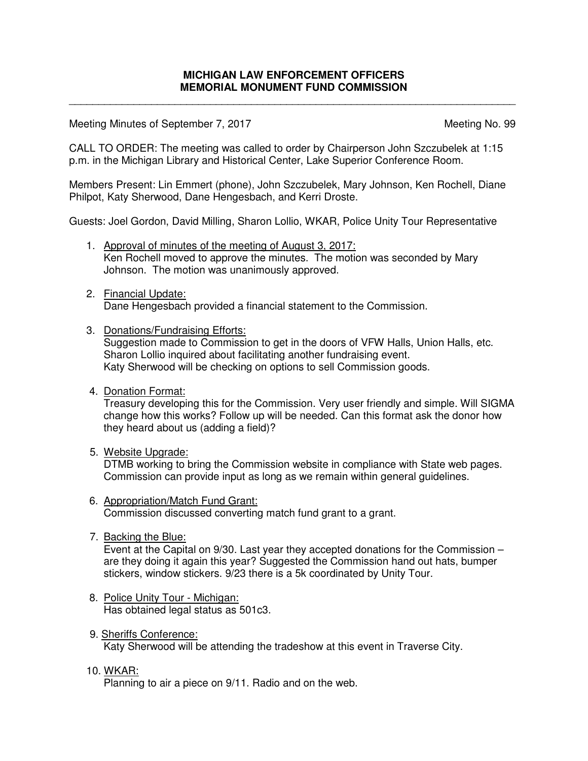\_\_\_\_\_\_\_\_\_\_\_\_\_\_\_\_\_\_\_\_\_\_\_\_\_\_\_\_\_\_\_\_\_\_\_\_\_\_\_\_\_\_\_\_\_\_\_\_\_\_\_\_\_\_\_\_\_\_\_\_\_\_\_\_\_\_\_\_\_\_\_\_\_\_\_\_

Meeting Minutes of September 7, 2017 Meeting No. 99

CALL TO ORDER: The meeting was called to order by Chairperson John Szczubelek at 1:15 p.m. in the Michigan Library and Historical Center, Lake Superior Conference Room.

Members Present: Lin Emmert (phone), John Szczubelek, Mary Johnson, Ken Rochell, Diane Philpot, Katy Sherwood, Dane Hengesbach, and Kerri Droste.

Guests: Joel Gordon, David Milling, Sharon Lollio, WKAR, Police Unity Tour Representative

- 1. Approval of minutes of the meeting of August 3, 2017: Ken Rochell moved to approve the minutes. The motion was seconded by Mary Johnson. The motion was unanimously approved.
- 2. Financial Update:

Dane Hengesbach provided a financial statement to the Commission.

3. Donations/Fundraising Efforts:

Suggestion made to Commission to get in the doors of VFW Halls, Union Halls, etc. Sharon Lollio inquired about facilitating another fundraising event. Katy Sherwood will be checking on options to sell Commission goods.

4. Donation Format:

Treasury developing this for the Commission. Very user friendly and simple. Will SIGMA change how this works? Follow up will be needed. Can this format ask the donor how they heard about us (adding a field)?

5. Website Upgrade:

DTMB working to bring the Commission website in compliance with State web pages. Commission can provide input as long as we remain within general guidelines.

- 6. Appropriation/Match Fund Grant: Commission discussed converting match fund grant to a grant.
- 7. Backing the Blue:

Event at the Capital on 9/30. Last year they accepted donations for the Commission – are they doing it again this year? Suggested the Commission hand out hats, bumper stickers, window stickers. 9/23 there is a 5k coordinated by Unity Tour.

- 8. Police Unity Tour Michigan: Has obtained legal status as 501c3.
- 9. Sheriffs Conference: Katy Sherwood will be attending the tradeshow at this event in Traverse City.
- 10. WKAR:

Planning to air a piece on 9/11. Radio and on the web.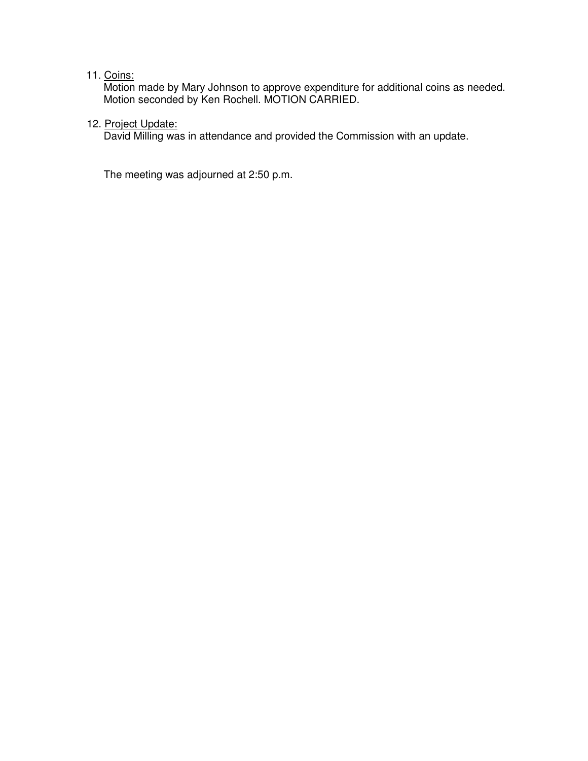#### 11. Coins:

Motion made by Mary Johnson to approve expenditure for additional coins as needed. Motion seconded by Ken Rochell. MOTION CARRIED.

# 12. Project Update:

David Milling was in attendance and provided the Commission with an update.

The meeting was adjourned at 2:50 p.m.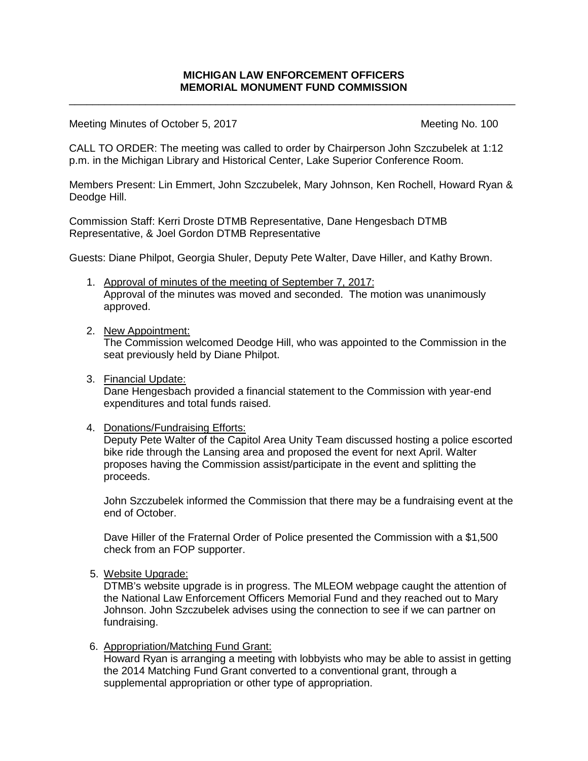\_\_\_\_\_\_\_\_\_\_\_\_\_\_\_\_\_\_\_\_\_\_\_\_\_\_\_\_\_\_\_\_\_\_\_\_\_\_\_\_\_\_\_\_\_\_\_\_\_\_\_\_\_\_\_\_\_\_\_\_\_\_\_\_\_\_\_\_\_\_\_\_\_\_\_\_

Meeting Minutes of October 5, 2017 Meeting No. 100

CALL TO ORDER: The meeting was called to order by Chairperson John Szczubelek at 1:12 p.m. in the Michigan Library and Historical Center, Lake Superior Conference Room.

Members Present: Lin Emmert, John Szczubelek, Mary Johnson, Ken Rochell, Howard Ryan & Deodge Hill.

Commission Staff: Kerri Droste DTMB Representative, Dane Hengesbach DTMB Representative, & Joel Gordon DTMB Representative

Guests: Diane Philpot, Georgia Shuler, Deputy Pete Walter, Dave Hiller, and Kathy Brown.

- 1. Approval of minutes of the meeting of September 7, 2017: Approval of the minutes was moved and seconded. The motion was unanimously approved.
- 2. New Appointment:

The Commission welcomed Deodge Hill, who was appointed to the Commission in the seat previously held by Diane Philpot.

3. Financial Update:

Dane Hengesbach provided a financial statement to the Commission with year-end expenditures and total funds raised.

4. Donations/Fundraising Efforts:

Deputy Pete Walter of the Capitol Area Unity Team discussed hosting a police escorted bike ride through the Lansing area and proposed the event for next April. Walter proposes having the Commission assist/participate in the event and splitting the proceeds.

John Szczubelek informed the Commission that there may be a fundraising event at the end of October.

Dave Hiller of the Fraternal Order of Police presented the Commission with a \$1,500 check from an FOP supporter.

5. Website Upgrade:

DTMB's website upgrade is in progress. The MLEOM webpage caught the attention of the National Law Enforcement Officers Memorial Fund and they reached out to Mary Johnson. John Szczubelek advises using the connection to see if we can partner on fundraising.

6. Appropriation/Matching Fund Grant:

Howard Ryan is arranging a meeting with lobbyists who may be able to assist in getting the 2014 Matching Fund Grant converted to a conventional grant, through a supplemental appropriation or other type of appropriation.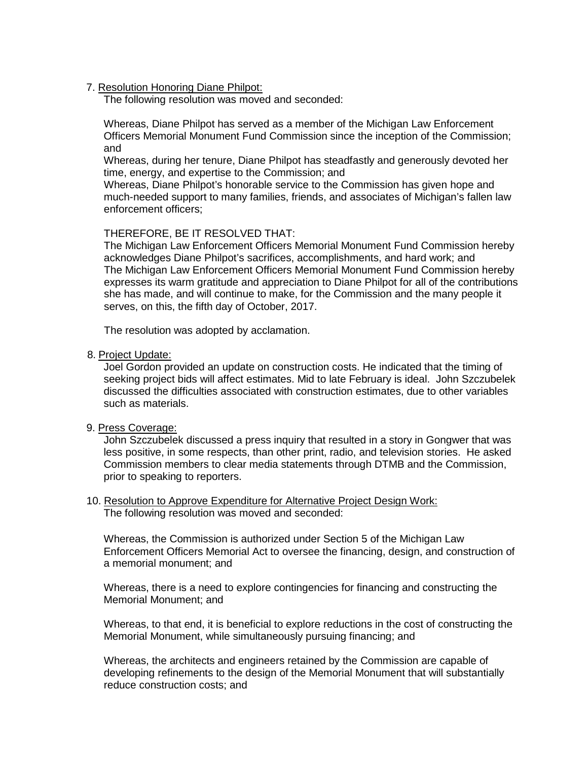#### 7. Resolution Honoring Diane Philpot:

The following resolution was moved and seconded:

Whereas, Diane Philpot has served as a member of the Michigan Law Enforcement Officers Memorial Monument Fund Commission since the inception of the Commission; and

Whereas, during her tenure, Diane Philpot has steadfastly and generously devoted her time, energy, and expertise to the Commission; and

Whereas, Diane Philpot's honorable service to the Commission has given hope and much-needed support to many families, friends, and associates of Michigan's fallen law enforcement officers;

### THEREFORE, BE IT RESOLVED THAT:

The Michigan Law Enforcement Officers Memorial Monument Fund Commission hereby acknowledges Diane Philpot's sacrifices, accomplishments, and hard work; and The Michigan Law Enforcement Officers Memorial Monument Fund Commission hereby expresses its warm gratitude and appreciation to Diane Philpot for all of the contributions she has made, and will continue to make, for the Commission and the many people it serves, on this, the fifth day of October, 2017.

The resolution was adopted by acclamation.

#### 8. Project Update:

Joel Gordon provided an update on construction costs. He indicated that the timing of seeking project bids will affect estimates. Mid to late February is ideal. John Szczubelek discussed the difficulties associated with construction estimates, due to other variables such as materials.

#### 9. Press Coverage:

John Szczubelek discussed a press inquiry that resulted in a story in Gongwer that was less positive, in some respects, than other print, radio, and television stories. He asked Commission members to clear media statements through DTMB and the Commission, prior to speaking to reporters.

#### 10. Resolution to Approve Expenditure for Alternative Project Design Work: The following resolution was moved and seconded:

Whereas, the Commission is authorized under Section 5 of the Michigan Law Enforcement Officers Memorial Act to oversee the financing, design, and construction of a memorial monument; and

Whereas, there is a need to explore contingencies for financing and constructing the Memorial Monument; and

Whereas, to that end, it is beneficial to explore reductions in the cost of constructing the Memorial Monument, while simultaneously pursuing financing; and

Whereas, the architects and engineers retained by the Commission are capable of developing refinements to the design of the Memorial Monument that will substantially reduce construction costs; and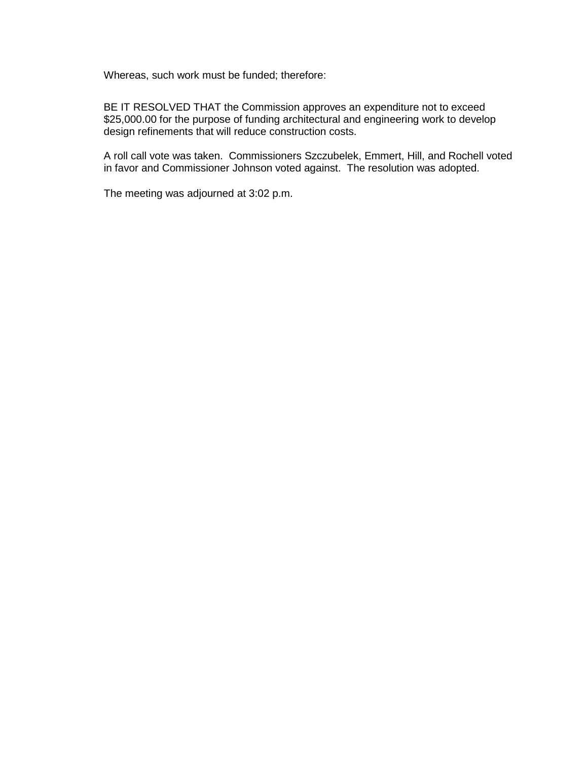Whereas, such work must be funded; therefore:

BE IT RESOLVED THAT the Commission approves an expenditure not to exceed \$25,000.00 for the purpose of funding architectural and engineering work to develop design refinements that will reduce construction costs.

A roll call vote was taken. Commissioners Szczubelek, Emmert, Hill, and Rochell voted in favor and Commissioner Johnson voted against. The resolution was adopted.

The meeting was adjourned at 3:02 p.m.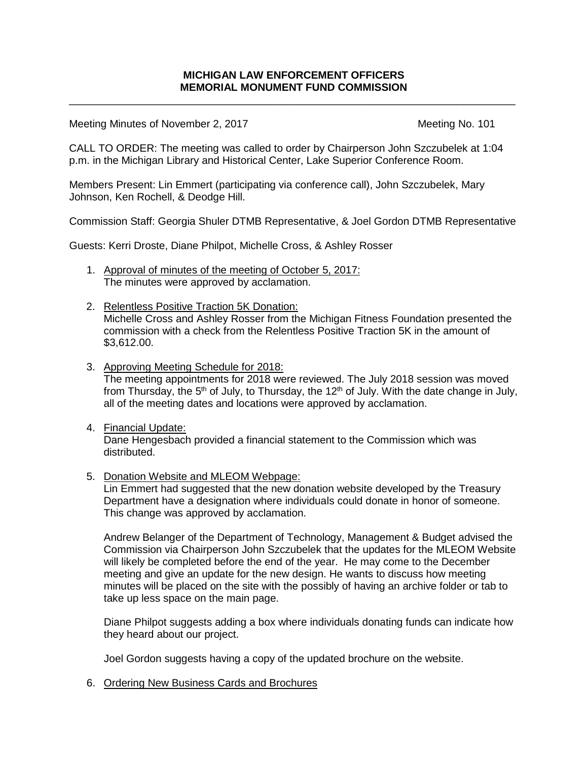\_\_\_\_\_\_\_\_\_\_\_\_\_\_\_\_\_\_\_\_\_\_\_\_\_\_\_\_\_\_\_\_\_\_\_\_\_\_\_\_\_\_\_\_\_\_\_\_\_\_\_\_\_\_\_\_\_\_\_\_\_\_\_\_\_\_\_\_\_\_\_\_\_\_\_\_

Meeting Minutes of November 2, 2017 Meeting No. 101

CALL TO ORDER: The meeting was called to order by Chairperson John Szczubelek at 1:04 p.m. in the Michigan Library and Historical Center, Lake Superior Conference Room.

Members Present: Lin Emmert (participating via conference call), John Szczubelek, Mary Johnson, Ken Rochell, & Deodge Hill.

Commission Staff: Georgia Shuler DTMB Representative, & Joel Gordon DTMB Representative

Guests: Kerri Droste, Diane Philpot, Michelle Cross, & Ashley Rosser

- 1. Approval of minutes of the meeting of October 5, 2017: The minutes were approved by acclamation.
- 2. Relentless Positive Traction 5K Donation: Michelle Cross and Ashley Rosser from the Michigan Fitness Foundation presented the commission with a check from the Relentless Positive Traction 5K in the amount of \$3,612.00.
- 3. Approving Meeting Schedule for 2018: The meeting appointments for 2018 were reviewed. The July 2018 session was moved from Thursday, the 5<sup>th</sup> of July, to Thursday, the 12<sup>th</sup> of July. With the date change in July, all of the meeting dates and locations were approved by acclamation.
- 4. Financial Update: Dane Hengesbach provided a financial statement to the Commission which was distributed.
- 5. Donation Website and MLEOM Webpage:

Lin Emmert had suggested that the new donation website developed by the Treasury Department have a designation where individuals could donate in honor of someone. This change was approved by acclamation.

Andrew Belanger of the Department of Technology, Management & Budget advised the Commission via Chairperson John Szczubelek that the updates for the MLEOM Website will likely be completed before the end of the year. He may come to the December meeting and give an update for the new design. He wants to discuss how meeting minutes will be placed on the site with the possibly of having an archive folder or tab to take up less space on the main page.

Diane Philpot suggests adding a box where individuals donating funds can indicate how they heard about our project.

Joel Gordon suggests having a copy of the updated brochure on the website.

6. Ordering New Business Cards and Brochures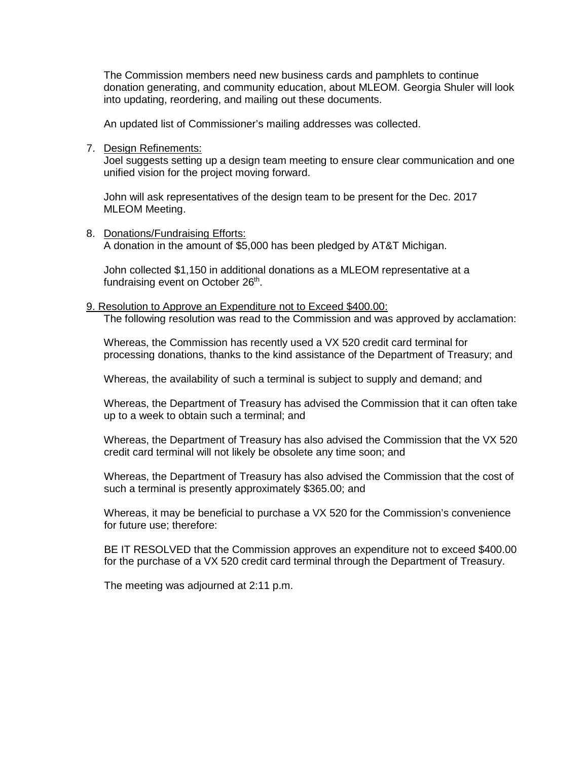The Commission members need new business cards and pamphlets to continue donation generating, and community education, about MLEOM. Georgia Shuler will look into updating, reordering, and mailing out these documents.

An updated list of Commissioner's mailing addresses was collected.

7. Design Refinements:

Joel suggests setting up a design team meeting to ensure clear communication and one unified vision for the project moving forward.

John will ask representatives of the design team to be present for the Dec. 2017 MLEOM Meeting.

8. Donations/Fundraising Efforts: A donation in the amount of \$5,000 has been pledged by AT&T Michigan.

John collected \$1,150 in additional donations as a MLEOM representative at a fundraising event on October 26<sup>th</sup>.

9. Resolution to Approve an Expenditure not to Exceed \$400.00:

The following resolution was read to the Commission and was approved by acclamation:

Whereas, the Commission has recently used a VX 520 credit card terminal for processing donations, thanks to the kind assistance of the Department of Treasury; and

Whereas, the availability of such a terminal is subject to supply and demand; and

Whereas, the Department of Treasury has advised the Commission that it can often take up to a week to obtain such a terminal; and

Whereas, the Department of Treasury has also advised the Commission that the VX 520 credit card terminal will not likely be obsolete any time soon; and

Whereas, the Department of Treasury has also advised the Commission that the cost of such a terminal is presently approximately \$365.00; and

Whereas, it may be beneficial to purchase a VX 520 for the Commission's convenience for future use; therefore:

BE IT RESOLVED that the Commission approves an expenditure not to exceed \$400.00 for the purchase of a VX 520 credit card terminal through the Department of Treasury.

The meeting was adjourned at 2:11 p.m.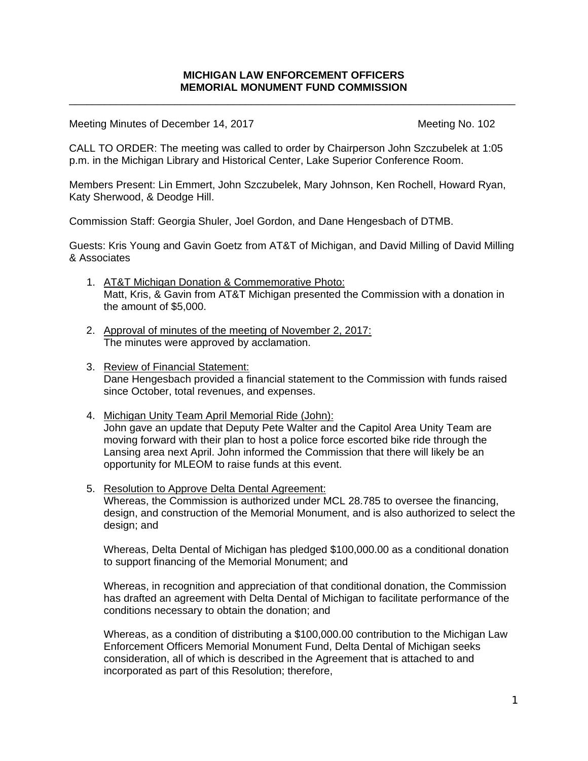\_\_\_\_\_\_\_\_\_\_\_\_\_\_\_\_\_\_\_\_\_\_\_\_\_\_\_\_\_\_\_\_\_\_\_\_\_\_\_\_\_\_\_\_\_\_\_\_\_\_\_\_\_\_\_\_\_\_\_\_\_\_\_\_\_\_\_\_\_\_\_\_\_\_\_\_

Meeting Minutes of December 14, 2017 Meeting No. 102

CALL TO ORDER: The meeting was called to order by Chairperson John Szczubelek at 1:05 p.m. in the Michigan Library and Historical Center, Lake Superior Conference Room.

Members Present: Lin Emmert, John Szczubelek, Mary Johnson, Ken Rochell, Howard Ryan, Katy Sherwood, & Deodge Hill.

Commission Staff: Georgia Shuler, Joel Gordon, and Dane Hengesbach of DTMB.

Guests: Kris Young and Gavin Goetz from AT&T of Michigan, and David Milling of David Milling & Associates

- 1. AT&T Michigan Donation & Commemorative Photo: Matt, Kris, & Gavin from AT&T Michigan presented the Commission with a donation in the amount of \$5,000.
- 2. Approval of minutes of the meeting of November 2, 2017: The minutes were approved by acclamation.
- 3. Review of Financial Statement: Dane Hengesbach provided a financial statement to the Commission with funds raised since October, total revenues, and expenses.
- 4. Michigan Unity Team April Memorial Ride (John): John gave an update that Deputy Pete Walter and the Capitol Area Unity Team are moving forward with their plan to host a police force escorted bike ride through the Lansing area next April. John informed the Commission that there will likely be an opportunity for MLEOM to raise funds at this event.
- 5. Resolution to Approve Delta Dental Agreement: Whereas, the Commission is authorized under MCL 28.785 to oversee the financing, design, and construction of the Memorial Monument, and is also authorized to select the design; and

Whereas, Delta Dental of Michigan has pledged \$100,000.00 as a conditional donation to support financing of the Memorial Monument; and

Whereas, in recognition and appreciation of that conditional donation, the Commission has drafted an agreement with Delta Dental of Michigan to facilitate performance of the conditions necessary to obtain the donation; and

Whereas, as a condition of distributing a \$100,000.00 contribution to the Michigan Law Enforcement Officers Memorial Monument Fund, Delta Dental of Michigan seeks consideration, all of which is described in the Agreement that is attached to and incorporated as part of this Resolution; therefore,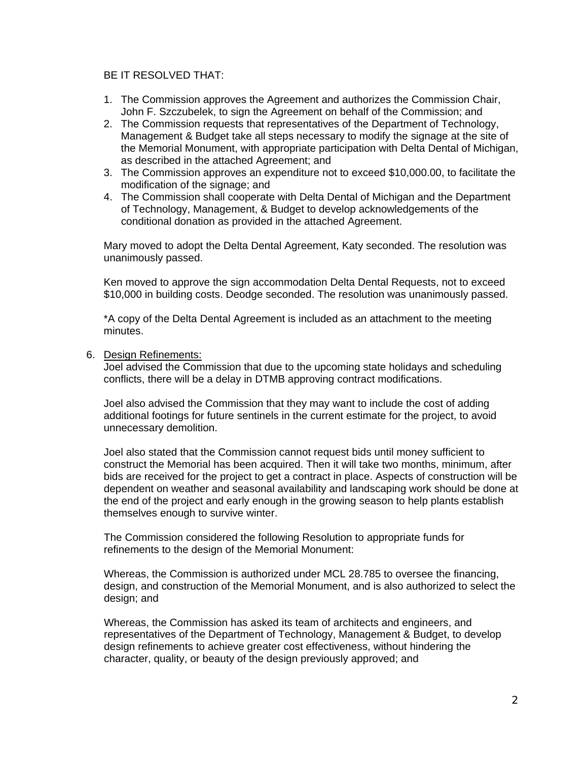#### BE IT RESOLVED THAT:

- 1. The Commission approves the Agreement and authorizes the Commission Chair, John F. Szczubelek, to sign the Agreement on behalf of the Commission; and
- 2. The Commission requests that representatives of the Department of Technology, Management & Budget take all steps necessary to modify the signage at the site of the Memorial Monument, with appropriate participation with Delta Dental of Michigan, as described in the attached Agreement; and
- 3. The Commission approves an expenditure not to exceed \$10,000.00, to facilitate the modification of the signage; and
- 4. The Commission shall cooperate with Delta Dental of Michigan and the Department of Technology, Management, & Budget to develop acknowledgements of the conditional donation as provided in the attached Agreement.

Mary moved to adopt the Delta Dental Agreement, Katy seconded. The resolution was unanimously passed.

Ken moved to approve the sign accommodation Delta Dental Requests, not to exceed \$10,000 in building costs. Deodge seconded. The resolution was unanimously passed.

\*A copy of the Delta Dental Agreement is included as an attachment to the meeting minutes.

6. Design Refinements:

Joel advised the Commission that due to the upcoming state holidays and scheduling conflicts, there will be a delay in DTMB approving contract modifications.

Joel also advised the Commission that they may want to include the cost of adding additional footings for future sentinels in the current estimate for the project, to avoid unnecessary demolition.

Joel also stated that the Commission cannot request bids until money sufficient to construct the Memorial has been acquired. Then it will take two months, minimum, after bids are received for the project to get a contract in place. Aspects of construction will be dependent on weather and seasonal availability and landscaping work should be done at the end of the project and early enough in the growing season to help plants establish themselves enough to survive winter.

The Commission considered the following Resolution to appropriate funds for refinements to the design of the Memorial Monument:

Whereas, the Commission is authorized under MCL 28.785 to oversee the financing, design, and construction of the Memorial Monument, and is also authorized to select the design; and

Whereas, the Commission has asked its team of architects and engineers, and representatives of the Department of Technology, Management & Budget, to develop design refinements to achieve greater cost effectiveness, without hindering the character, quality, or beauty of the design previously approved; and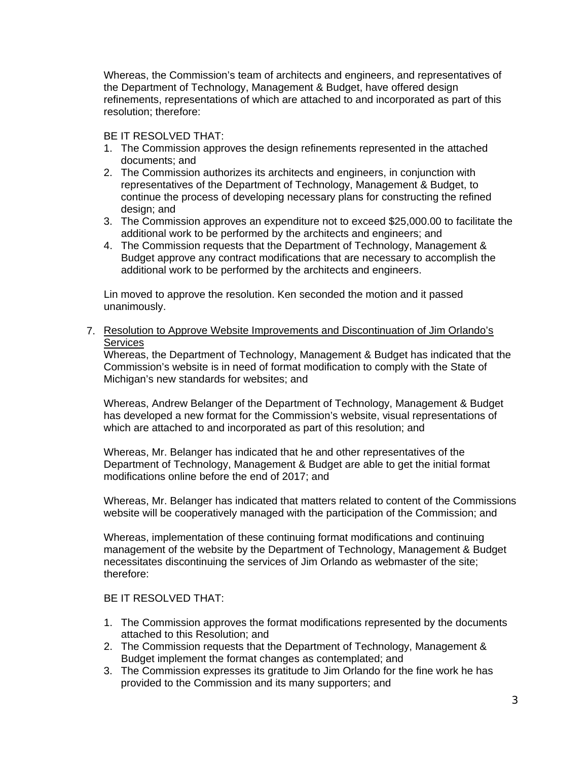Whereas, the Commission's team of architects and engineers, and representatives of the Department of Technology, Management & Budget, have offered design refinements, representations of which are attached to and incorporated as part of this resolution; therefore:

# BE IT RESOLVED THAT:

- 1. The Commission approves the design refinements represented in the attached documents; and
- 2. The Commission authorizes its architects and engineers, in conjunction with representatives of the Department of Technology, Management & Budget, to continue the process of developing necessary plans for constructing the refined design; and
- 3. The Commission approves an expenditure not to exceed \$25,000.00 to facilitate the additional work to be performed by the architects and engineers; and
- 4. The Commission requests that the Department of Technology, Management & Budget approve any contract modifications that are necessary to accomplish the additional work to be performed by the architects and engineers.

Lin moved to approve the resolution. Ken seconded the motion and it passed unanimously.

7. Resolution to Approve Website Improvements and Discontinuation of Jim Orlando's **Services** 

Whereas, the Department of Technology, Management & Budget has indicated that the Commission's website is in need of format modification to comply with the State of Michigan's new standards for websites; and

Whereas, Andrew Belanger of the Department of Technology, Management & Budget has developed a new format for the Commission's website, visual representations of which are attached to and incorporated as part of this resolution; and

Whereas, Mr. Belanger has indicated that he and other representatives of the Department of Technology, Management & Budget are able to get the initial format modifications online before the end of 2017; and

Whereas, Mr. Belanger has indicated that matters related to content of the Commissions website will be cooperatively managed with the participation of the Commission; and

Whereas, implementation of these continuing format modifications and continuing management of the website by the Department of Technology, Management & Budget necessitates discontinuing the services of Jim Orlando as webmaster of the site; therefore:

# BE IT RESOLVED THAT:

- 1. The Commission approves the format modifications represented by the documents attached to this Resolution; and
- 2. The Commission requests that the Department of Technology, Management & Budget implement the format changes as contemplated; and
- 3. The Commission expresses its gratitude to Jim Orlando for the fine work he has provided to the Commission and its many supporters; and